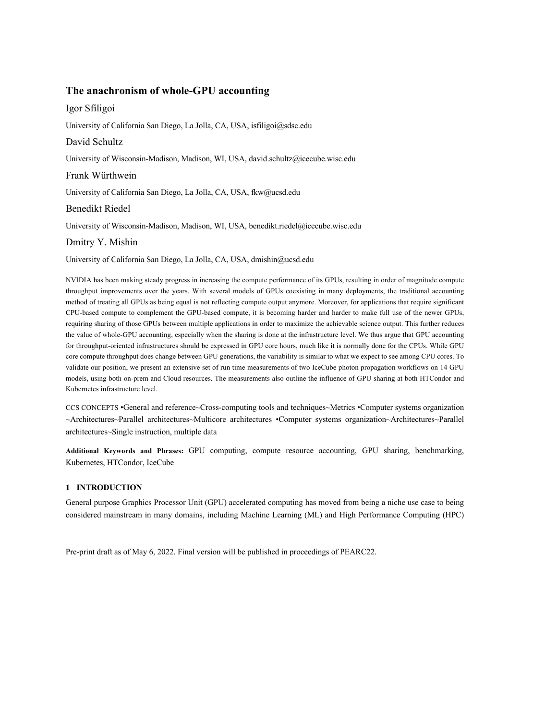# **The anachronism of whole-GPU accounting**

# Igor Sfiligoi

University of California San Diego, La Jolla, CA, USA, isfiligoi@sdsc.edu

# David Schultz

University of Wisconsin-Madison, Madison, WI, USA, david.schultz@icecube.wisc.edu

## Frank Würthwein

University of California San Diego, La Jolla, CA, USA, fkw@ucsd.edu

## Benedikt Riedel

University of Wisconsin-Madison, Madison, WI, USA, benedikt.riedel@icecube.wisc.edu

### Dmitry Y. Mishin

University of California San Diego, La Jolla, CA, USA, dmishin@ucsd.edu

NVIDIA has been making steady progress in increasing the compute performance of its GPUs, resulting in order of magnitude compute throughput improvements over the years. With several models of GPUs coexisting in many deployments, the traditional accounting method of treating all GPUs as being equal is not reflecting compute output anymore. Moreover, for applications that require significant CPU-based compute to complement the GPU-based compute, it is becoming harder and harder to make full use of the newer GPUs, requiring sharing of those GPUs between multiple applications in order to maximize the achievable science output. This further reduces the value of whole-GPU accounting, especially when the sharing is done at the infrastructure level. We thus argue that GPU accounting for throughput-oriented infrastructures should be expressed in GPU core hours, much like it is normally done for the CPUs. While GPU core compute throughput does change between GPU generations, the variability is similar to what we expect to see among CPU cores. To validate our position, we present an extensive set of run time measurements of two IceCube photon propagation workflows on 14 GPU models, using both on-prem and Cloud resources. The measurements also outline the influence of GPU sharing at both HTCondor and Kubernetes infrastructure level.

CCS CONCEPTS •General and reference~Cross-computing tools and techniques~Metrics •Computer systems organization ~Architectures~Parallel architectures~Multicore architectures •Computer systems organization~Architectures~Parallel architectures~Single instruction, multiple data

**Additional Keywords and Phrases:** GPU computing, compute resource accounting, GPU sharing, benchmarking, Kubernetes, HTCondor, IceCube

### **1 INTRODUCTION**

General purpose Graphics Processor Unit (GPU) accelerated computing has moved from being a niche use case to being considered mainstream in many domains, including Machine Learning (ML) and High Performance Computing (HPC)

Pre-print draft as of May 6, 2022. Final version will be published in proceedings of PEARC22.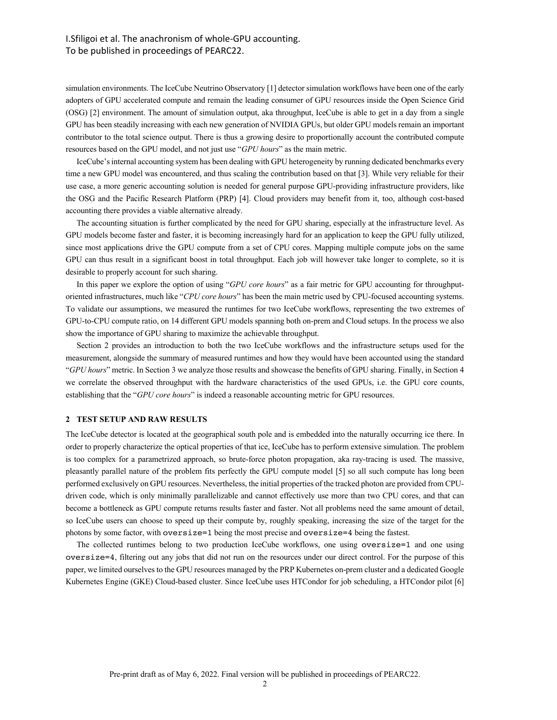# I.Sfiligoi et al. The anachronism of whole-GPU accounting. To be published in proceedings of PEARC22.

simulation environments. The IceCube Neutrino Observatory [1] detector simulation workflows have been one of the early adopters of GPU accelerated compute and remain the leading consumer of GPU resources inside the Open Science Grid (OSG) [2] environment. The amount of simulation output, aka throughput, IceCube is able to get in a day from a single GPU has been steadily increasing with each new generation of NVIDIA GPUs, but older GPU models remain an important contributor to the total science output. There is thus a growing desire to proportionally account the contributed compute resources based on the GPU model, and not just use "*GPU hours*" as the main metric.

IceCube's internal accounting system has been dealing with GPU heterogeneity by running dedicated benchmarks every time a new GPU model was encountered, and thus scaling the contribution based on that [3]. While very reliable for their use case, a more generic accounting solution is needed for general purpose GPU-providing infrastructure providers, like the OSG and the Pacific Research Platform (PRP) [4]. Cloud providers may benefit from it, too, although cost-based accounting there provides a viable alternative already.

The accounting situation is further complicated by the need for GPU sharing, especially at the infrastructure level. As GPU models become faster and faster, it is becoming increasingly hard for an application to keep the GPU fully utilized, since most applications drive the GPU compute from a set of CPU cores. Mapping multiple compute jobs on the same GPU can thus result in a significant boost in total throughput. Each job will however take longer to complete, so it is desirable to properly account for such sharing.

In this paper we explore the option of using "*GPU core hours*" as a fair metric for GPU accounting for throughputoriented infrastructures, much like "*CPU core hours*" has been the main metric used by CPU-focused accounting systems. To validate our assumptions, we measured the runtimes for two IceCube workflows, representing the two extremes of GPU-to-CPU compute ratio, on 14 different GPU models spanning both on-prem and Cloud setups. In the process we also show the importance of GPU sharing to maximize the achievable throughput.

Section 2 provides an introduction to both the two IceCube workflows and the infrastructure setups used for the measurement, alongside the summary of measured runtimes and how they would have been accounted using the standard "*GPU hours*" metric. In Section 3 we analyze those results and showcase the benefits of GPU sharing. Finally, in Section 4 we correlate the observed throughput with the hardware characteristics of the used GPUs, i.e. the GPU core counts, establishing that the "*GPU core hours*" is indeed a reasonable accounting metric for GPU resources.

### **2 TEST SETUP AND RAW RESULTS**

The IceCube detector is located at the geographical south pole and is embedded into the naturally occurring ice there. In order to properly characterize the optical properties of that ice, IceCube has to perform extensive simulation. The problem is too complex for a parametrized approach, so brute-force photon propagation, aka ray-tracing is used. The massive, pleasantly parallel nature of the problem fits perfectly the GPU compute model [5] so all such compute has long been performed exclusively on GPU resources. Nevertheless, the initial properties of the tracked photon are provided from CPUdriven code, which is only minimally parallelizable and cannot effectively use more than two CPU cores, and that can become a bottleneck as GPU compute returns results faster and faster. Not all problems need the same amount of detail, so IceCube users can choose to speed up their compute by, roughly speaking, increasing the size of the target for the photons by some factor, with oversize=1 being the most precise and oversize=4 being the fastest.

The collected runtimes belong to two production IceCube workflows, one using oversize=1 and one using oversize=4, filtering out any jobs that did not run on the resources under our direct control. For the purpose of this paper, we limited ourselves to the GPU resources managed by the PRP Kubernetes on-prem cluster and a dedicated Google Kubernetes Engine (GKE) Cloud-based cluster. Since IceCube uses HTCondor for job scheduling, a HTCondor pilot [6]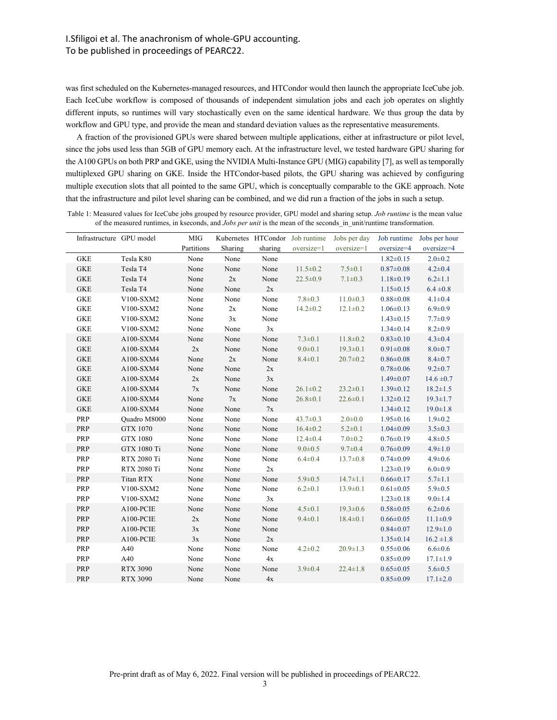was first scheduled on the Kubernetes-managed resources, and HTCondor would then launch the appropriate IceCube job. Each IceCube workflow is composed of thousands of independent simulation jobs and each job operates on slightly different inputs, so runtimes will vary stochastically even on the same identical hardware. We thus group the data by workflow and GPU type, and provide the mean and standard deviation values as the representative measurements.

A fraction of the provisioned GPUs were shared between multiple applications, either at infrastructure or pilot level, since the jobs used less than 5GB of GPU memory each. At the infrastructure level, we tested hardware GPU sharing for the A100 GPUs on both PRP and GKE, using the NVIDIA Multi-Instance GPU (MIG) capability [7], as well as temporally multiplexed GPU sharing on GKE. Inside the HTCondor-based pilots, the GPU sharing was achieved by configuring multiple execution slots that all pointed to the same GPU, which is conceptually comparable to the GKE approach. Note that the infrastructure and pilot level sharing can be combined, and we did run a fraction of the jobs in such a setup.

|  | Infrastructure GPU model |                    | MIG           |               |               | Kubernetes HTCondor Job runtime | Jobs per day   | Job runtime     | Jobs per hour  |
|--|--------------------------|--------------------|---------------|---------------|---------------|---------------------------------|----------------|-----------------|----------------|
|  |                          |                    | Partitions    | Sharing       | sharing       | oversize=1                      | oversize=1     | oversize=4      | oversize=4     |
|  | <b>GKE</b>               | Tesla K80          | None          | None          | None          |                                 |                | $1.82 \pm 0.15$ | $2.0 \pm 0.2$  |
|  | <b>GKE</b>               | Tesla T4           | None          | None          | None          | $11.5 \pm 0.2$                  | $7.5 \pm 0.1$  | $0.87 \pm 0.08$ | $4.2 \pm 0.4$  |
|  | <b>GKE</b>               | Tesla T4           | None          | 2x            | None          | $22.5 \pm 0.9$                  | $7.1 \pm 0.3$  | $1.18 \pm 0.19$ | $6.2 \pm 1.1$  |
|  | <b>GKE</b>               | Tesla T4           | None          | None          | $2\mathrm{x}$ |                                 |                | $1.15 \pm 0.15$ | $6.4 \pm 0.8$  |
|  | <b>GKE</b>               | V100-SXM2          | None          | None          | None          | $7.8 \pm 0.3$                   | $11.0 \pm 0.3$ | $0.88 + 0.08$   | $4.1 \pm 0.4$  |
|  | <b>GKE</b>               | V100-SXM2          | None          | $2x$          | None          | $14.2 \pm 0.2$                  | $12.1 \pm 0.2$ | $1.06 \pm 0.13$ | $6.9 \pm 0.9$  |
|  | <b>GKE</b>               | V100-SXM2          | None          | $3x$          | None          |                                 |                | $1.43 \pm 0.15$ | $7.7 \pm 0.9$  |
|  | <b>GKE</b>               | V100-SXM2          | None          | None          | 3x            |                                 |                | $1.34 \pm 0.14$ | $8.2 \pm 0.9$  |
|  | <b>GKE</b>               | A100-SXM4          | None          | None          | None          | $7.3 \pm 0.1$                   | $11.8 \pm 0.2$ | $0.83 \pm 0.10$ | $4.3 \pm 0.4$  |
|  | <b>GKE</b>               | A100-SXM4          | 2x            | None          | None          | $9.0 + 0.1$                     | $19.3 \pm 0.1$ | $0.91 \pm 0.08$ | $8.0 + 0.7$    |
|  | <b>GKE</b>               | A100-SXM4          | None          | 2x            | None          | $8.4 \pm 0.1$                   | $20.7 \pm 0.2$ | $0.86 \pm 0.08$ | $8.4 \pm 0.7$  |
|  | <b>GKE</b>               | A100-SXM4          | None          | None          | 2x            |                                 |                | $0.78 \pm 0.06$ | $9.2 \pm 0.7$  |
|  | <b>GKE</b>               | A100-SXM4          | 2x            | None          | 3x            |                                 |                | $1.49 \pm 0.07$ | $14.6 \pm 0.7$ |
|  | ${\rm GKE}$              | A100-SXM4          | $7\mathrm{x}$ | None          | None          | $26.1 \pm 0.2$                  | $23.2 \pm 0.1$ | $1.39 \pm 0.12$ | $18.2 \pm 1.5$ |
|  | <b>GKE</b>               | A100-SXM4          | None          | $7\mathrm{x}$ | None          | $26.8 \pm 0.1$                  | $22.6 \pm 0.1$ | $1.32 \pm 0.12$ | $19.3 \pm 1.7$ |
|  | <b>GKE</b>               | A100-SXM4          | None          | None          | 7x            |                                 |                | $1.34 \pm 0.12$ | $19.0 \pm 1.8$ |
|  | PRP                      | Quadro M8000       | None          | None          | None          | $43.7 \pm 0.3$                  | $2.0 + 0.0$    | $1.95 \pm 0.16$ | $1.9 \pm 0.2$  |
|  | PRP                      | <b>GTX 1070</b>    | None          | None          | None          | $16.4 \pm 0.2$                  | $5.2 \pm 0.1$  | $1.04 \pm 0.09$ | $3.5 \pm 0.3$  |
|  | PRP                      | <b>GTX 1080</b>    | None          | None          | None          | $12.4 \pm 0.4$                  | $7.0 \pm 0.2$  | $0.76 \pm 0.19$ | $4.8 \pm 0.5$  |
|  | PRP                      | GTX 1080 Ti        | None          | None          | None          | $9.0 \pm 0.5$                   | $9.7 \pm 0.4$  | $0.76 \pm 0.09$ | $4.9 \pm 1.0$  |
|  | PRP                      | RTX 2080 Ti        | None          | None          | None          | $6.4 \pm 0.4$                   | $13.7 \pm 0.8$ | $0.74 \pm 0.09$ | $4.9 \pm 0.6$  |
|  | PRP                      | <b>RTX 2080 Ti</b> | None          | None          | $2\mathrm{x}$ |                                 |                | $1.23 \pm 0.19$ | $6.0 + 0.9$    |
|  | PRP                      | Titan RTX          | None          | None          | None          | $5.9 \pm 0.5$                   | $14.7 \pm 1.1$ | $0.66 \pm 0.17$ | $5.7 \pm 1.1$  |
|  | PRP                      | V100-SXM2          | None          | None          | None          | $6.2 \pm 0.1$                   | $13.9 \pm 0.1$ | $0.61 \pm 0.05$ | $5.9 \pm 0.5$  |
|  | PRP                      | V100-SXM2          | None          | None          | $3x$          |                                 |                | $1.23 \pm 0.18$ | $9.0 \pm 1.4$  |
|  | PRP                      | A100-PCIE          | None          | None          | None          | $4.5 \pm 0.1$                   | $19.3 \pm 0.6$ | $0.58 \pm 0.05$ | $6.2 \pm 0.6$  |
|  | PRP                      | A100-PCIE          | 2x            | None          | None          | $9.4 \pm 0.1$                   | $18.4 \pm 0.1$ | $0.66 \pm 0.05$ | $11.1 \pm 0.9$ |
|  | PRP                      | A100-PCIE          | 3x            | None          | None          |                                 |                | $0.84 \pm 0.07$ | $12.9 \pm 1.0$ |
|  | PRP                      | A100-PCIE          | 3x            | None          | 2x            |                                 |                | $1.35 \pm 0.14$ | $16.2 \pm 1.8$ |
|  | PRP                      | A40                | None          | None          | None          | $4.2 \pm 0.2$                   | $20.9 \pm 1.3$ | $0.55 \pm 0.06$ | $6.6 \pm 0.6$  |
|  | PRP                      | A40                | None          | None          | 4x            |                                 |                | $0.85 \pm 0.09$ | $17.1 \pm 1.9$ |
|  | PRP                      | <b>RTX 3090</b>    | None          | None          | None          | $3.9 \pm 0.4$                   | $22.4 \pm 1.8$ | $0.65 \pm 0.05$ | $5.6 \pm 0.5$  |
|  | PRP                      | <b>RTX 3090</b>    | None          | None          | 4x            |                                 |                | $0.85 \pm 0.09$ | $17.1 \pm 2.0$ |

Table 1: Measured values for IceCube jobs grouped by resource provider, GPU model and sharing setup. *Job runtime* is the mean value of the measured runtimes, in kseconds, and *Jobs per unit* is the mean of the seconds\_in\_unit/runtime transformation.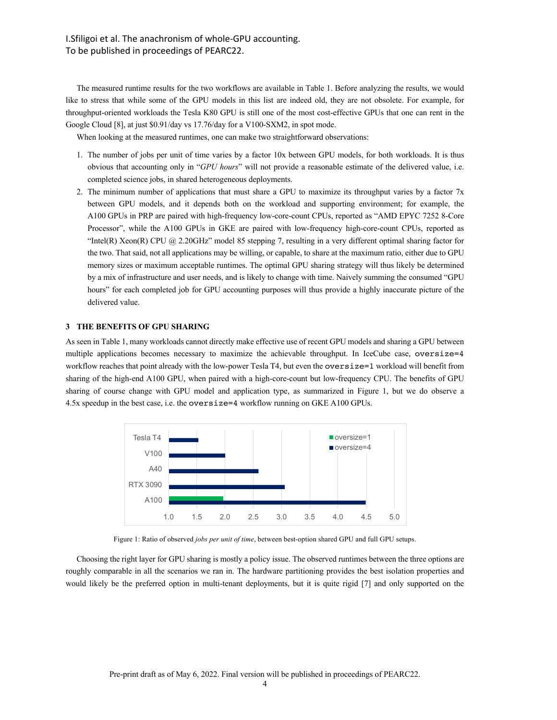The measured runtime results for the two workflows are available in Table 1. Before analyzing the results, we would like to stress that while some of the GPU models in this list are indeed old, they are not obsolete. For example, for throughput-oriented workloads the Tesla K80 GPU is still one of the most cost-effective GPUs that one can rent in the Google Cloud [8], at just \$0.91/day vs 17.76/day for a V100-SXM2, in spot mode.

When looking at the measured runtimes, one can make two straightforward observations:

- 1. The number of jobs per unit of time varies by a factor 10x between GPU models, for both workloads. It is thus obvious that accounting only in "*GPU hours*" will not provide a reasonable estimate of the delivered value, i.e. completed science jobs, in shared heterogeneous deployments.
- 2. The minimum number of applications that must share a GPU to maximize its throughput varies by a factor 7x between GPU models, and it depends both on the workload and supporting environment; for example, the A100 GPUs in PRP are paired with high-frequency low-core-count CPUs, reported as "AMD EPYC 7252 8-Core Processor", while the A100 GPUs in GKE are paired with low-frequency high-core-count CPUs, reported as "Intel(R) Xeon(R) CPU @ 2.20GHz" model 85 stepping 7, resulting in a very different optimal sharing factor for the two. That said, not all applications may be willing, or capable, to share at the maximum ratio, either due to GPU memory sizes or maximum acceptable runtimes. The optimal GPU sharing strategy will thus likely be determined by a mix of infrastructure and user needs, and is likely to change with time. Naively summing the consumed "GPU hours" for each completed job for GPU accounting purposes will thus provide a highly inaccurate picture of the delivered value.

### **3 THE BENEFITS OF GPU SHARING**

As seen in Table 1, many workloads cannot directly make effective use of recent GPU models and sharing a GPU between multiple applications becomes necessary to maximize the achievable throughput. In IceCube case, oversize=4 workflow reaches that point already with the low-power Tesla T4, but even the oversize=1 workload will benefit from sharing of the high-end A100 GPU, when paired with a high-core-count but low-frequency CPU. The benefits of GPU sharing of course change with GPU model and application type, as summarized in Figure 1, but we do observe a 4.5x speedup in the best case, i.e. the oversize=4 workflow running on GKE A100 GPUs.



Figure 1: Ratio of observed *jobs per unit of time*, between best-option shared GPU and full GPU setups.

Choosing the right layer for GPU sharing is mostly a policy issue. The observed runtimes between the three options are roughly comparable in all the scenarios we ran in. The hardware partitioning provides the best isolation properties and would likely be the preferred option in multi-tenant deployments, but it is quite rigid [7] and only supported on the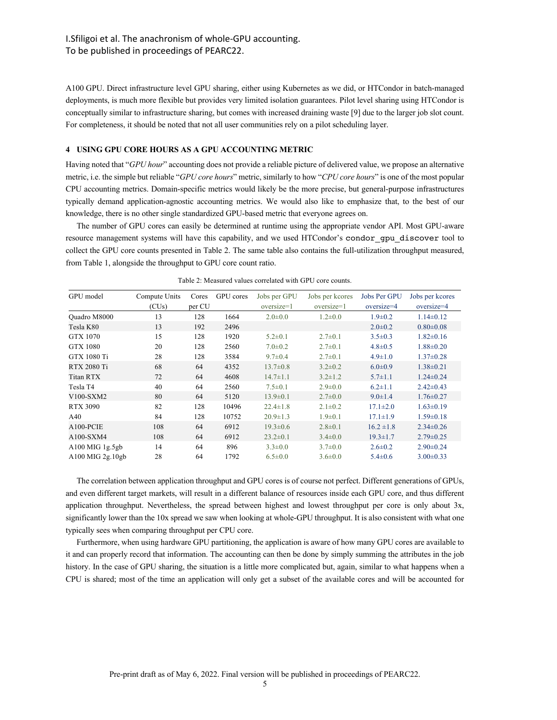A100 GPU. Direct infrastructure level GPU sharing, either using Kubernetes as we did, or HTCondor in batch-managed deployments, is much more flexible but provides very limited isolation guarantees. Pilot level sharing using HTCondor is conceptually similar to infrastructure sharing, but comes with increased draining waste [9] due to the larger job slot count. For completeness, it should be noted that not all user communities rely on a pilot scheduling layer.

### **4 USING GPU CORE HOURS AS A GPU ACCOUNTING METRIC**

Having noted that "*GPU hour*" accounting does not provide a reliable picture of delivered value, we propose an alternative metric, i.e. the simple but reliable "*GPU core hours*" metric, similarly to how "*CPU core hours*" is one of the most popular CPU accounting metrics. Domain-specific metrics would likely be the more precise, but general-purpose infrastructures typically demand application-agnostic accounting metrics. We would also like to emphasize that, to the best of our knowledge, there is no other single standardized GPU-based metric that everyone agrees on.

The number of GPU cores can easily be determined at runtime using the appropriate vendor API. Most GPU-aware resource management systems will have this capability, and we used HTCondor's condor\_gpu\_discover tool to collect the GPU core counts presented in Table 2. The same table also contains the full-utilization throughput measured, from Table 1, alongside the throughput to GPU core count ratio.

| GPU model        | Compute Units<br>(CUs) | Cores<br>per CU | GPU cores | Jobs per GPU<br>oversize=1 | Jobs per kcores<br>oversize=1 | Jobs Per GPU<br>oversize=4 | Jobs per kcores<br>oversize=4 |
|------------------|------------------------|-----------------|-----------|----------------------------|-------------------------------|----------------------------|-------------------------------|
| Quadro M8000     | 13                     | 128             | 1664      | $2.0 \pm 0.0$              | $1.2 \pm 0.0$                 | $1.9 \pm 0.2$              | $1.14 \pm 0.12$               |
| Tesla K80        | 13                     | 192             | 2496      |                            |                               | $2.0 \pm 0.2$              | $0.80 \pm 0.08$               |
| GTX 1070         | 15                     | 128             | 1920      | $5.2 \pm 0.1$              | $2.7 \pm 0.1$                 | $3.5 \pm 0.3$              | $1.82 \pm 0.16$               |
| <b>GTX 1080</b>  | 20                     | 128             | 2560      | $7.0 \pm 0.2$              | $2.7 \pm 0.1$                 | $4.8 \pm 0.5$              | $1.88 \pm 0.20$               |
| GTX 1080 Ti      | 28                     | 128             | 3584      | $9.7 \pm 0.4$              | $2.7 \pm 0.1$                 | $4.9 \pm 1.0$              | $1.37 \pm 0.28$               |
| RTX 2080 Ti      | 68                     | 64              | 4352      | $13.7 \pm 0.8$             | $3.2 \pm 0.2$                 | $6.0 \pm 0.9$              | $1.38 \pm 0.21$               |
| Titan RTX        | 72                     | 64              | 4608      | $14.7 \pm 1.1$             | $3.2 \pm 1.2$                 | $5.7 \pm 1.1$              | $1.24 \pm 0.24$               |
| Tesla T4         | 40                     | 64              | 2560      | $7.5 \pm 0.1$              | $2.9 \pm 0.0$                 | $6.2 \pm 1.1$              | $2.42 \pm 0.43$               |
| $V100-SXM2$      | 80                     | 64              | 5120      | $13.9 \pm 0.1$             | $2.7 \pm 0.0$                 | $9.0 \pm 1.4$              | $1.76 \pm 0.27$               |
| <b>RTX 3090</b>  | 82                     | 128             | 10496     | $22.4 \pm 1.8$             | $2.1 \pm 0.2$                 | $17.1 \pm 2.0$             | $1.63 \pm 0.19$               |
| A40              | 84                     | 128             | 10752     | $20.9 \pm 1.3$             | $1.9 \pm 0.1$                 | $17.1 \pm 1.9$             | $1.59 \pm 0.18$               |
| $A100$ -PCIE     | 108                    | 64              | 6912      | $19.3 \pm 0.6$             | $2.8 \pm 0.1$                 | $16.2 \pm 1.8$             | $2.34 \pm 0.26$               |
| $A100-SXM4$      | 108                    | 64              | 6912      | $23.2 \pm 0.1$             | $3.4 \pm 0.0$                 | $19.3 \pm 1.7$             | $2.79 \pm 0.25$               |
| A100 MIG 1g.5gb  | 14                     | 64              | 896       | $3.3 \pm 0.0$              | $3.7 \pm 0.0$                 | $2.6 \pm 0.2$              | $2.90 \pm 0.24$               |
| A100 MIG 2g.10gb | 28                     | 64              | 1792      | $6.5 \pm 0.0$              | $3.6 \pm 0.0$                 | $5.4 \pm 0.6$              | $3.00 \pm 0.33$               |

Table 2: Measured values correlated with GPU core counts.

The correlation between application throughput and GPU cores is of course not perfect. Different generations of GPUs, and even different target markets, will result in a different balance of resources inside each GPU core, and thus different application throughput. Nevertheless, the spread between highest and lowest throughput per core is only about 3x, significantly lower than the 10x spread we saw when looking at whole-GPU throughput. It is also consistent with what one typically sees when comparing throughput per CPU core.

Furthermore, when using hardware GPU partitioning, the application is aware of how many GPU cores are available to it and can properly record that information. The accounting can then be done by simply summing the attributes in the job history. In the case of GPU sharing, the situation is a little more complicated but, again, similar to what happens when a CPU is shared; most of the time an application will only get a subset of the available cores and will be accounted for